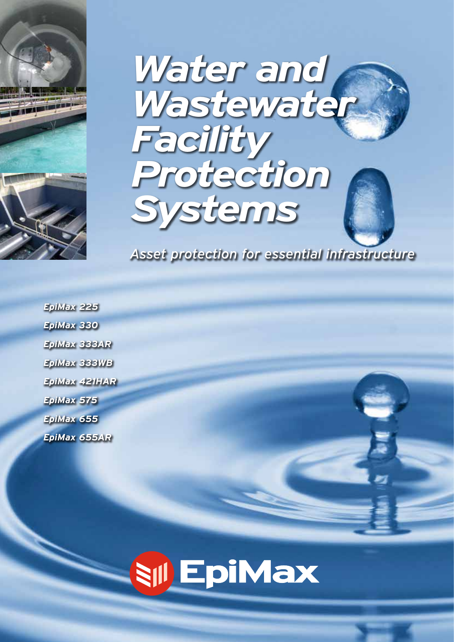



*Asset protection for essential infrastructure*

*EpiMax 225 EpiMax 330 EpiMax 333AR EpiMax 333WB EpiMax 421HAR EpiMax 575 EpiMax 655 EpiMax 655AR*

# **SILEpiMax**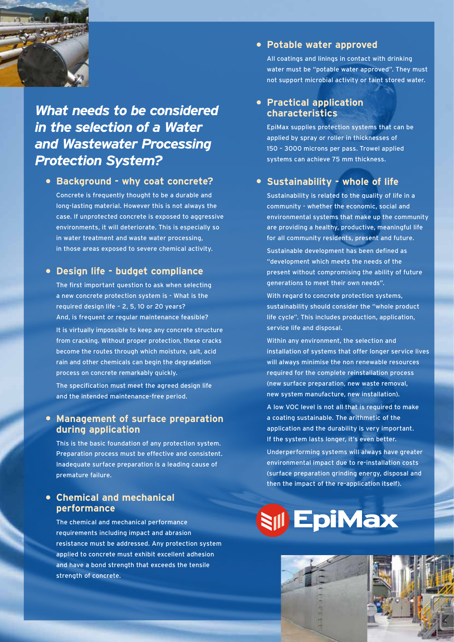

## *What needs to be considered in the selection of a Water and Wastewater Processing Protection System?*

### **• Background - why coat concrete?**

Concrete is frequently thought to be a durable and long-lasting material. However this is not always the case. If unprotected concrete is exposed to aggressive environments, it will deteriorate. This is especially so in water treatment and waste water processing, in those areas exposed to severe chemical activity.

## **• Design life - budget compliance**

The first important question to ask when selecting a new concrete protection system is - What is the required design life – 2, 5, 10 or 20 years? And, is frequent or regular maintenance feasible? It is virtually impossible to keep any concrete structure from cracking. Without proper protection, these cracks become the routes through which moisture, salt, acid rain and other chemicals can begin the degradation process on concrete remarkably quickly.

The specification must meet the agreed design life and the intended maintenance-free period.

### **• Management of surface preparation during application**

This is the basic foundation of any protection system. Preparation process must be effective and consistent. Inadequate surface preparation is a leading cause of premature failure.

#### **• Chemical and mechanical performance**

The chemical and mechanical performance requirements including impact and abrasion resistance must be addressed. Any protection system applied to concrete must exhibit excellent adhesion and have a bond strength that exceeds the tensile strength of concrete.

#### **• Potable water approved**

All coatings and linings in contact with drinking water must be "potable water approved". They must not support microbial activity or taint stored water.

### **• Practical application characteristics**

EpiMax supplies protection systems that can be applied by spray or roller in thicknesses of 150 – 3000 microns per pass. Trowel applied systems can achieve 75 mm thickness.

## **• Sustainability - whole of life**

Sustainability is related to the quality of life in a community - whether the economic, social and environmental systems that make up the community are providing a healthy, productive, meaningful life for all community residents, present and future. Sustainable development has been defined as "development which meets the needs of the present without compromising the ability of future generations to meet their own needs".

With regard to concrete protection systems, sustainability should consider the "whole product life cycle". This includes production, application, service life and disposal.

Within any environment, the selection and installation of systems that offer longer service lives will always minimise the non renewable resources required for the complete reinstallation process (new surface preparation, new waste removal, new system manufacture, new installation).

A low VOC level is not all that is required to make a coating sustainable. The arithmetic of the application and the durability is very important. If the system lasts longer, it's even better.

Underperforming systems will always have greater environmental impact due to re-installation costs (surface preparation grinding energy, disposal and then the impact of the re-application itself).

## **SIII EpiMax**

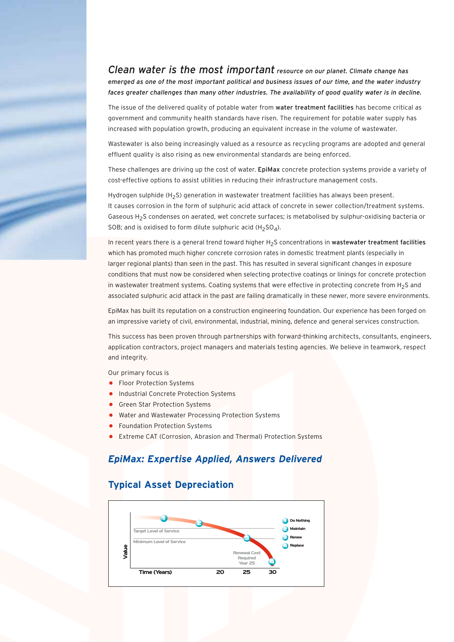*Clean water is the most important resource on our planet. Climate change has emerged as one of the most important political and business issues of our time, and the water industry faces greater challenges than many other industries. The availability of good quality water is in decline.*

The issue of the delivered quality of potable water from water treatment facilities has become critical as government and community health standards have risen. The requirement for potable water supply has increased with population growth, producing an equivalent increase in the volume of wastewater.

Wastewater is also being increasingly valued as a resource as recycling programs are adopted and general effluent quality is also rising as new environmental standards are being enforced.

These challenges are driving up the cost of water. EpiMax concrete protection systems provide a variety of cost-effective options to assist utilities in reducing their infrastructure management costs.

Hydrogen sulphide (H<sub>2</sub>S) generation in wastewater treatment facilities has always been present. It causes corrosion in the form of sulphuric acid attack of concrete in sewer collection/treatment systems. Gaseous H2S condenses on aerated, wet concrete surfaces; is metabolised by sulphur-oxidising bacteria or SOB; and is oxidised to form dilute sulphuric acid (H<sub>2</sub>SO<sub>4</sub>).

In recent years there is a general trend toward higher H<sub>2</sub>S concentrations in wastewater treatment facilities which has promoted much higher concrete corrosion rates in domestic treatment plants (especially in larger regional plants) than seen in the past. This has resulted in several significant changes in exposure conditions that must now be considered when selecting protective coatings or linings for concrete protection in wastewater treatment systems. Coating systems that were effective in protecting concrete from H<sub>2</sub>S and associated sulphuric acid attack in the past are failing dramatically in these newer, more severe environments.

EpiMax has built its reputation on a construction engineering foundation. Our experience has been forged on an impressive variety of civil, environmental, industrial, mining, defence and general services construction.

This success has been proven through partnerships with forward-thinking architects, consultants, engineers, application contractors, project managers and materials testing agencies. We believe in teamwork, respect and integrity.

Our primary focus is

- Floor Protection Systems
- Industrial Concrete Protection Systems
- Green Star Protection Systems
- Water and Wastewater Processing Protection Systems
- **•** Foundation Protection Systems
- Extreme CAT (Corrosion, Abrasion and Thermal) Protection Systems

#### *EpiMax: Expertise Applied, Answers Delivered*

#### **Typical Asset Depreciation**

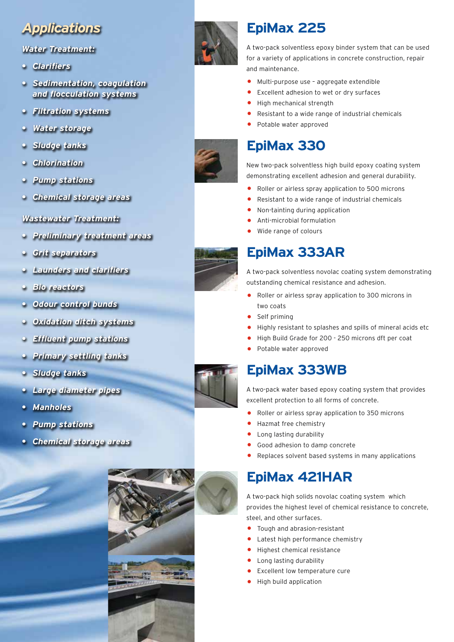## *Applications*

#### *Water Treatment:*

- *• Clarifiers*
- *Sedimentation, coagulation and flocculation systems*
- *• Filtration systems*
- *• Water storage*
- *• Sludge tanks*
- *• Chlorination*
- *• Pump stations*
- *• Chemical storage areas*

#### *Wastewater Treatment:*

- *• Preliminary treatment areas*
- *• Grit separators*
- *• Launders and clarifiers*
- *• Bio reactors*
- *• Odour control bunds*
- *• Oxidation ditch systems*
- *• Effluent pump stations*
- *• Primary settling tanks*
- *• Sludge tanks*
- *• Large diameter pipes*
- *• Manholes*
- *• Pump stations*
- *• Chemical storage areas*





## **EpiMax 225**

A two-pack solventless epoxy binder system that can be used for a variety of applications in concrete construction, repair and maintenance.

- Multi-purpose use aggregate extendible<br>• Excellent adhesion to wet or dry surfaces
- Excellent adhesion to wet or dry surfaces
- High mechanical strength
- Resistant to a wide range of industrial chemicals
- Potable water approved

## **EpiMax 330**

New two-pack solventless high build epoxy coating system demonstrating excellent adhesion and general durability.

- Roller or airless spray application to 500 microns
	- Resistant to a wide range of industrial chemicals
- Non-tainting during application
- Anti-microbial formulation
- Wide range of colours

## **EpiMax 333AR**

A two-pack solventless novolac coating system demonstrating outstanding chemical resistance and adhesion.

- Roller or airless spray application to 300 microns in two coats
- Self priming
- Highly resistant to splashes and spills of mineral acids etc
- High Build Grade for 200 250 microns dft per coat
- Potable water approved

## **EpiMax 333WB**

A two-pack water based epoxy coating system that provides excellent protection to all forms of concrete.

- Roller or airless spray application to 350 microns
- Hazmat free chemistry
- Long lasting durability
- Good adhesion to damp concrete
- Replaces solvent based systems in many applications

## **EpiMax 421HAR**

A two-pack high solids novolac coating system which provides the highest level of chemical resistance to concrete, steel, and other surfaces.

- Tough and abrasion-resistant
- Latest high performance chemistry
- Highest chemical resistance
- Long lasting durability
- Excellent low temperature cure
- High build application



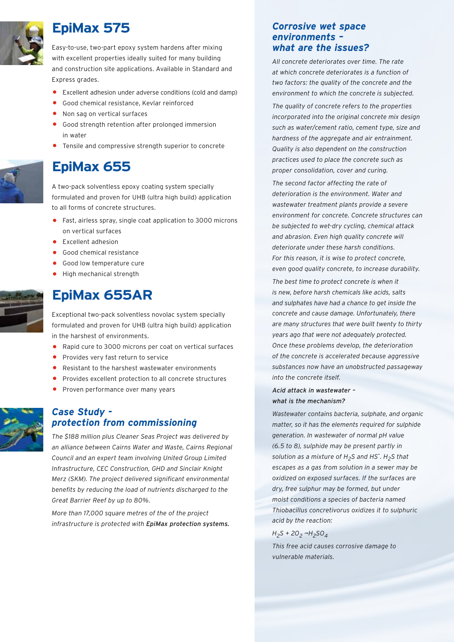

## **EpiMax 575**

Easy-to-use, two-part epoxy system hardens after mixing with excellent properties ideally suited for many building and construction site applications. Available in Standard and Express grades.

- Excellent adhesion under adverse conditions (cold and damp)
- Good chemical resistance, Kevlar reinforced
- Non sag on vertical surfaces
- Good strength retention after prolonged immersion in water
- Tensile and compressive strength superior to concrete

## **EpiMax 655**

A two-pack solventless epoxy coating system specially formulated and proven for UHB (ultra high build) application to all forms of concrete structures.

- Fast, airless spray, single coat application to 3000 microns on vertical surfaces
- Excellent adhesion
- Good chemical resistance
- Good low temperature cure
- High mechanical strength

## **EpiMax 655AR**

Exceptional two-pack solventless novolac system specially formulated and proven for UHB (ultra high build) application in the harshest of environments.

- Rapid cure to 3000 microns per coat on vertical surfaces
- Provides very fast return to service
- Resistant to the harshest wastewater environments
- Provides excellent protection to all concrete structures
- Proven performance over many years

#### *Case Study protection from commissioning*

*The \$188 million plus Cleaner Seas Project was delivered by an alliance between Cairns Water and Waste, Cairns Regional Council and an expert team involving United Group Limited Infrastructure, CEC Construction, GHD and Sinclair Knight Merz (SKM). The project delivered significant environmental benefits by reducing the load of nutrients discharged to the Great Barrier Reef by up to 80%.*

*More than 17,000 square metres of the of the project infrastructure is protected with EpiMax protection systems.*

#### *Corrosive wet space environments – what are the issues?*

*All concrete deteriorates over time. The rate at which concrete deteriorates is a function of two factors: the quality of the concrete and the environment to which the concrete is subjected.* 

*The quality of concrete refers to the properties incorporated into the original concrete mix design such as water/cement ratio, cement type, size and hardness of the aggregate and air entrainment. Quality is also dependent on the construction practices used to place the concrete such as proper consolidation, cover and curing.* 

*The second factor affecting the rate of deterioration is the environment. Water and wastewater treatment plants provide a severe environment for concrete. Concrete structures can be subjected to wet-dry cycling, chemical attack and abrasion. Even high quality concrete will deteriorate under these harsh conditions. For this reason, it is wise to protect concrete, even good quality concrete, to increase durability.* 

*The best time to protect concrete is when it is new, before harsh chemicals like acids, salts and sulphates have had a chance to get inside the concrete and cause damage. Unfortunately, there are many structures that were built twenty to thirty years ago that were not adequately protected. Once these problems develop, the deterioration of the concrete is accelerated because aggressive substances now have an unobstructed passageway into the concrete itself.* 

#### *Acid attack in wastewater – what is the mechanism?*

*Wastewater contains bacteria, sulphate, and organic matter, so it has the elements required for sulphide generation. In wastewater of normal pH value (6.5 to 8), sulphide may be present partly in solution as a mixture of H2S and HS-. H2S that escapes as a gas from solution in a sewer may be oxidized on exposed surfaces. If the surfaces are dry, free sulphur may be formed, but under moist conditions a species of bacteria named Thiobacillus concretivorus oxidizes it to sulphuric acid by the reaction:*

#### *H2S + 2O2 ¬H2SO4*

*This free acid causes corrosive damage to vulnerable materials.*